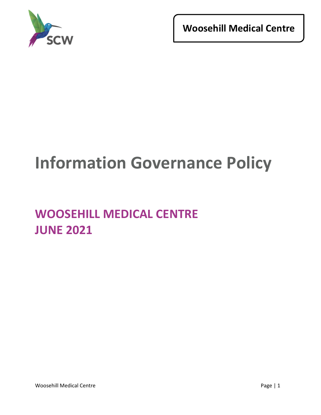

**Woosehill Medical Centre**

# **Information Governance Policy**

# **WOOSEHILL MEDICAL CENTRE JUNE 2021**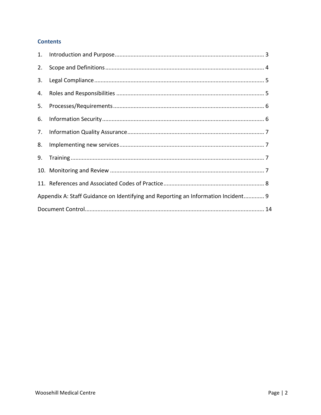# **Contents**

| 2. |                                                                                   |
|----|-----------------------------------------------------------------------------------|
|    |                                                                                   |
|    |                                                                                   |
|    |                                                                                   |
|    |                                                                                   |
|    |                                                                                   |
| 8. |                                                                                   |
|    |                                                                                   |
|    |                                                                                   |
|    |                                                                                   |
|    | Appendix A: Staff Guidance on Identifying and Reporting an Information Incident 9 |
|    |                                                                                   |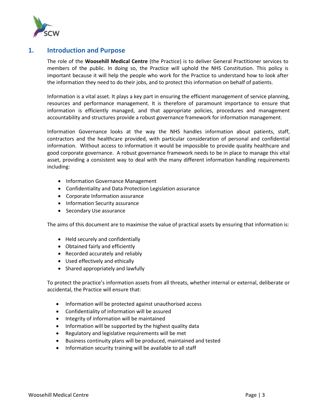

# <span id="page-2-0"></span>**1. Introduction and Purpose**

The role of the **Woosehill Medical Centre** (the Practice) is to deliver General Practitioner services to members of the public. In doing so, the Practice will uphold the NHS Constitution. This policy is important because it will help the people who work for the Practice to understand how to look after the information they need to do their jobs, and to protect this information on behalf of patients.

Information is a vital asset. It plays a key part in ensuring the efficient management of service planning, resources and performance management. It is therefore of paramount importance to ensure that information is efficiently managed, and that appropriate policies, procedures and management accountability and structures provide a robust governance framework for information management.

Information Governance looks at the way the NHS handles information about patients, staff, contractors and the healthcare provided, with particular consideration of personal and confidential information. Without access to information it would be impossible to provide quality healthcare and good corporate governance. A robust governance framework needs to be in place to manage this vital asset, providing a consistent way to deal with the many different information handling requirements including:

- Information Governance Management
- Confidentiality and Data Protection Legislation assurance
- Corporate Information assurance
- Information Security assurance
- Secondary Use assurance

The aims of this document are to maximise the value of practical assets by ensuring that information is:

- Held securely and confidentially
- Obtained fairly and efficiently
- Recorded accurately and reliably
- Used effectively and ethically
- Shared appropriately and lawfully

To protect the practice's information assets from all threats, whether internal or external, deliberate or accidental, the Practice will ensure that:

- Information will be protected against unauthorised access
- Confidentiality of information will be assured
- Integrity of information will be maintained
- Information will be supported by the highest quality data
- Regulatory and legislative requirements will be met
- Business continuity plans will be produced, maintained and tested
- Information security training will be available to all staff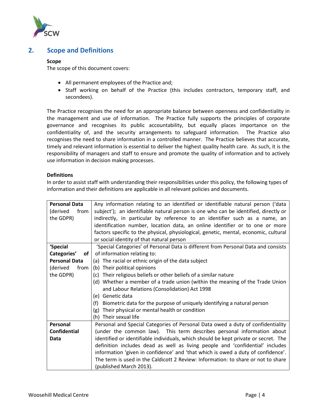

# <span id="page-3-0"></span>**2. Scope and Definitions**

#### **Scope**

The scope of this document covers:

- All permanent employees of the Practice and;
- Staff working on behalf of the Practice (this includes contractors, temporary staff, and secondees).

The Practice recognises the need for an appropriate balance between openness and confidentiality in the management and use of information. The Practice fully supports the principles of corporate governance and recognises its public accountability, but equally places importance on the confidentiality of, and the security arrangements to safeguard information. The Practice also recognises the need to share information in a controlled manner. The Practice believes that accurate, timely and relevant information is essential to deliver the highest quality health care. As such, it is the responsibility of managers and staff to ensure and promote the quality of information and to actively use information in decision making processes.

#### **Definitions**

In order to assist staff with understanding their responsibilities under this policy, the following types of information and their definitions are applicable in all relevant policies and documents.

| <b>Personal Data</b> | Any information relating to an identified or identifiable natural person ('data      |  |  |  |  |
|----------------------|--------------------------------------------------------------------------------------|--|--|--|--|
| (derived<br>from     | subject'); an identifiable natural person is one who can be identified, directly or  |  |  |  |  |
| the GDPR)            | indirectly, in particular by reference to an identifier such as a name, an           |  |  |  |  |
|                      | identification number, location data, an online identifier or to one or more         |  |  |  |  |
|                      | factors specific to the physical, physiological, genetic, mental, economic, cultural |  |  |  |  |
|                      | or social identity of that natural person                                            |  |  |  |  |
| 'Special             | 'Special Categories' of Personal Data is different from Personal Data and consists   |  |  |  |  |
| Categories'<br>of    | of information relating to:                                                          |  |  |  |  |
| <b>Personal Data</b> | (a) The racial or ethnic origin of the data subject                                  |  |  |  |  |
| (derived<br>from     | (b) Their political opinions                                                         |  |  |  |  |
| the GDPR)            | (c) Their religious beliefs or other beliefs of a similar nature                     |  |  |  |  |
|                      | (d) Whether a member of a trade union (within the meaning of the Trade Union         |  |  |  |  |
|                      | and Labour Relations (Consolidation) Act 1998                                        |  |  |  |  |
|                      | (e) Genetic data                                                                     |  |  |  |  |
|                      | Biometric data for the purpose of uniquely identifying a natural person<br>(f)       |  |  |  |  |
|                      | Their physical or mental health or condition<br>(g)                                  |  |  |  |  |
|                      | (h) Their sexual life                                                                |  |  |  |  |
| Personal             | Personal and Special Categories of Personal Data owed a duty of confidentiality      |  |  |  |  |
| <b>Confidential</b>  | (under the common law). This term describes personal information about               |  |  |  |  |
| Data                 | identified or identifiable individuals, which should be kept private or secret. The  |  |  |  |  |
|                      | definition includes dead as well as living people and 'confidential' includes        |  |  |  |  |
|                      | information 'given in confidence' and 'that which is owed a duty of confidence'.     |  |  |  |  |
|                      | The term is used in the Caldicott 2 Review: Information: to share or not to share    |  |  |  |  |
|                      | (published March 2013).                                                              |  |  |  |  |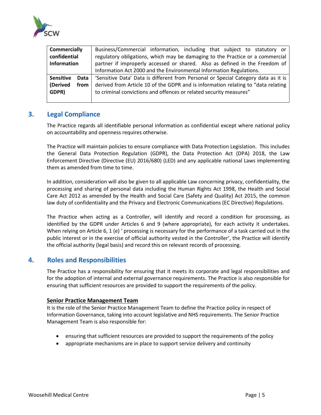

| <b>Commercially</b> |      | Business/Commercial information, including that subject to statutory or            |  |  |  |  |  |
|---------------------|------|------------------------------------------------------------------------------------|--|--|--|--|--|
| confidential        |      | regulatory obligations, which may be damaging to the Practice or a commercial      |  |  |  |  |  |
| <b>Information</b>  |      | partner if improperly accessed or shared. Also as defined in the Freedom of        |  |  |  |  |  |
|                     |      | Information Act 2000 and the Environmental Information Regulations.                |  |  |  |  |  |
| <b>Sensitive</b>    | Data | 'Sensitive Data' Data is different from Personal or Special Category data as it is |  |  |  |  |  |
| (Derived            | from | derived from Article 10 of the GDPR and is information relating to "data relating  |  |  |  |  |  |
| GDPR)               |      | to criminal convictions and offences or related security measures"                 |  |  |  |  |  |
|                     |      |                                                                                    |  |  |  |  |  |

# <span id="page-4-0"></span>**3. Legal Compliance**

The Practice regards all identifiable personal information as confidential except where national policy on accountability and openness requires otherwise.

The Practice will maintain policies to ensure compliance with Data Protection Legislation. This includes the General Data Protection Regulation (GDPR), the Data Protection Act (DPA) 2018, the Law Enforcement Directive (Directive (EU) 2016/680) (LED) and any applicable national Laws implementing them as amended from time to time.

In addition, consideration will also be given to all applicable Law concerning privacy, confidentiality, the processing and sharing of personal data including the Human Rights Act 1998, the Health and Social Care Act 2012 as amended by the Health and Social Care (Safety and Quality) Act 2015, the common law duty of confidentiality and the Privacy and Electronic Communications (EC Directive) Regulations.

The Practice when acting as a Controller, will identify and record a condition for processing, as identified by the GDPR under Articles 6 and 9 (where appropriate), for each activity it undertakes. When relying on Article 6, 1 (e) ' processing is necessary for the performance of a task carried out in the public interest or in the exercise of official authority vested in the Controller', the Practice will identify the official authority (legal basis) and record this on relevant records of processing.

# <span id="page-4-1"></span>**4. Roles and Responsibilities**

The Practice has a responsibility for ensuring that it meets its corporate and legal responsibilities and for the adoption of internal and external governance requirements. The Practice is also responsible for ensuring that sufficient resources are provided to support the requirements of the policy.

#### **Senior Practice Management Team**

It is the role of the Senior Practice Management Team to define the Practice policy in respect of Information Governance, taking into account legislative and NHS requirements. The Senior Practice Management Team is also responsible for:

- ensuring that sufficient resources are provided to support the requirements of the policy
- appropriate mechanisms are in place to support service delivery and continuity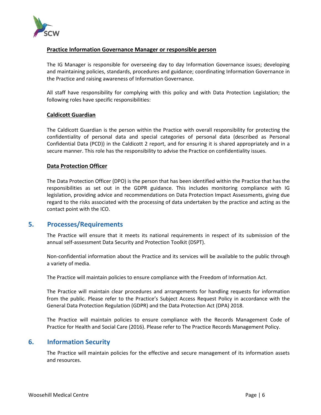

#### **Practice Information Governance Manager or responsible person**

The IG Manager is responsible for overseeing day to day Information Governance issues; developing and maintaining policies, standards, procedures and guidance; coordinating Information Governance in the Practice and raising awareness of Information Governance.

All staff have responsibility for complying with this policy and with Data Protection Legislation; the following roles have specific responsibilities:

#### **Caldicott Guardian**

The Caldicott Guardian is the person within the Practice with overall responsibility for protecting the confidentiality of personal data and special categories of personal data (described as Personal Confidential Data (PCD)) in the Caldicott 2 report, and for ensuring it is shared appropriately and in a secure manner. This role has the responsibility to advise the Practice on confidentiality issues.

#### **Data Protection Officer**

The Data Protection Officer (DPO) is the person that has been identified within the Practice that has the responsibilities as set out in the GDPR guidance. This includes monitoring compliance with IG legislation, providing advice and recommendations on Data Protection Impact Assessments, giving due regard to the risks associated with the processing of data undertaken by the practice and acting as the contact point with the ICO.

# <span id="page-5-0"></span>**5. Processes/Requirements**

The Practice will ensure that it meets its national requirements in respect of its submission of the annual self-assessment Data Security and Protection Toolkit (DSPT).

Non-confidential information about the Practice and its services will be available to the public through a variety of media.

The Practice will maintain policies to ensure compliance with the Freedom of Information Act.

The Practice will maintain clear procedures and arrangements for handling requests for information from the public. Please refer to the Practice's Subject Access Request Policy in accordance with the General Data Protection Regulation (GDPR) and the Data Protection Act (DPA) 2018.

The Practice will maintain policies to ensure compliance with the Records Management Code of Practice for Health and Social Care (2016). Please refer to The Practice Records Management Policy.

# <span id="page-5-1"></span>**6. Information Security**

The Practice will maintain policies for the effective and secure management of its information assets and resources.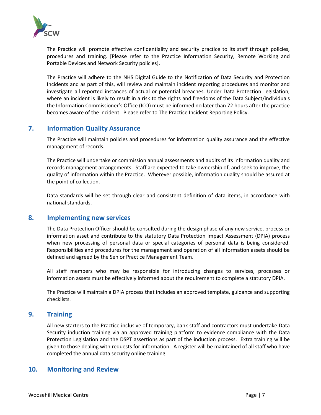

The Practice will promote effective confidentiality and security practice to its staff through policies, procedures and training. [Please refer to the Practice Information Security, Remote Working and Portable Devices and Network Security policies].

The Practice will adhere to the NHS Digital Guide to the Notification of Data Security and Protection Incidents and as part of this, will review and maintain incident reporting procedures and monitor and investigate all reported instances of actual or potential breaches. Under Data Protection Legislation, where an incident is likely to result in a risk to the rights and freedoms of the Data Subject/individuals the Information Commissioner's Office (ICO) must be informed no later than 72 hours after the practice becomes aware of the incident. Please refer to The Practice Incident Reporting Policy.

# <span id="page-6-0"></span>**7. Information Quality Assurance**

The Practice will maintain policies and procedures for information quality assurance and the effective management of records.

The Practice will undertake or commission annual assessments and audits of its information quality and records management arrangements. Staff are expected to take ownership of, and seek to improve, the quality of information within the Practice. Wherever possible, information quality should be assured at the point of collection.

Data standards will be set through clear and consistent definition of data items, in accordance with national standards.

# <span id="page-6-1"></span>**8. Implementing new services**

The Data Protection Officer should be consulted during the design phase of any new service, process or information asset and contribute to the statutory Data Protection Impact Assessment (DPIA) process when new processing of personal data or special categories of personal data is being considered. Responsibilities and procedures for the management and operation of all information assets should be defined and agreed by the Senior Practice Management Team.

All staff members who may be responsible for introducing changes to services, processes or information assets must be effectively informed about the requirement to complete a statutory DPIA.

The Practice will maintain a DPIA process that includes an approved template, guidance and supporting checklists.

# <span id="page-6-2"></span>**9. Training**

All new starters to the Practice inclusive of temporary, bank staff and contractors must undertake Data Security induction training via an approved training platform to evidence compliance with the Data Protection Legislation and the DSPT assertions as part of the induction process. Extra training will be given to those dealing with requests for information. A register will be maintained of all staff who have completed the annual data security online training.

# <span id="page-6-3"></span>**10. Monitoring and Review**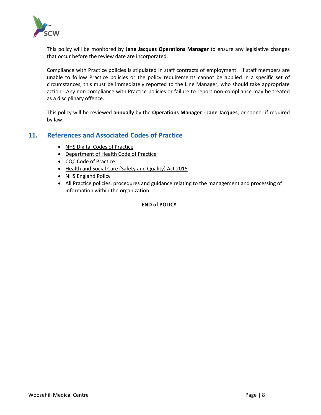

This policy will be monitored by **Jane Jacques Operations Manager** to ensure any legislative changes that occur before the review date are incorporated.

Compliance with Practice policies is stipulated in staff contracts of employment. If staff members are unable to follow Practice policies or the policy requirements cannot be applied in a specific set of circumstances, this must be immediately reported to the Line Manager, who should take appropriate action. Any non-compliance with Practice policies or failure to report non-compliance may be treated as a disciplinary offence.

This policy will be reviewed **annually** by the **Operations Manager - Jane Jacques**, or sooner if required by law.

# <span id="page-7-0"></span>**11. References and Associated Codes of Practice**

- [NHS Digital Codes of Practice](https://digital.nhs.uk/codes-of-practice-handling-information/confidential-information)
- [Department of Health Code of Practice](https://www.gov.uk/government/publications/confidentiality-nhs-code-of-practice)
- [CQC Code of Practice](http://www.cqc.org.uk/sites/default/files/20160906%20Code%20of%20practice%20on%20CPI%202016%20FINAL.pdf)
- [Health and Social Care \(Safety and Quality\) Act 2015](http://www.legislation.gov.uk/ukpga/2015/28/contents/enacted)
- [NHS England Policy](https://www.england.nhs.uk/publication/confidentiality-policy/)
- All Practice policies, procedures and guidance relating to the management and processing of information within the organization

#### **END of POLICY**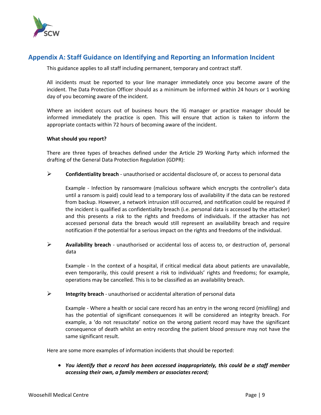

# <span id="page-8-0"></span>**Appendix A: Staff Guidance on Identifying and Reporting an Information Incident**

This guidance applies to all staff including permanent, temporary and contract staff.

All incidents must be reported to your line manager immediately once you become aware of the incident. The Data Protection Officer should as a minimum be informed within 24 hours or 1 working day of you becoming aware of the incident.

Where an incident occurs out of business hours the IG manager or practice manager should be informed immediately the practice is open. This will ensure that action is taken to inform the appropriate contacts within 72 hours of becoming aware of the incident.

#### **What should you report?**

There are three types of breaches defined under the Article 29 Working Party which informed the drafting of the General Data Protection Regulation (GDPR):

➢ **Confidentiality breach** - unauthorised or accidental disclosure of, or access to personal data

Example - Infection by ransomware (malicious software which encrypts the controller's data until a ransom is paid) could lead to a temporary loss of availability if the data can be restored from backup. However, a network intrusion still occurred, and notification could be required if the incident is qualified as confidentiality breach (i.e. personal data is accessed by the attacker) and this presents a risk to the rights and freedoms of individuals. If the attacker has not accessed personal data the breach would still represent an availability breach and require notification if the potential for a serious impact on the rights and freedoms of the individual.

➢ **Availability breach** - unauthorised or accidental loss of access to, or destruction of, personal data

Example - In the context of a hospital, if critical medical data about patients are unavailable, even temporarily, this could present a risk to individuals' rights and freedoms; for example, operations may be cancelled. This is to be classified as an availability breach.

➢ **Integrity breach** - unauthorised or accidental alteration of personal data

Example - Where a health or social care record has an entry in the wrong record (misfiling) and has the potential of significant consequences it will be considered an integrity breach. For example, a 'do not resuscitate' notice on the wrong patient record may have the significant consequence of death whilst an entry recording the patient blood pressure may not have the same significant result.

Here are some more examples of information incidents that should be reported:

• *You identify that a record has been accessed inappropriately, this could be a staff member accessing their own, a family members or associates record;*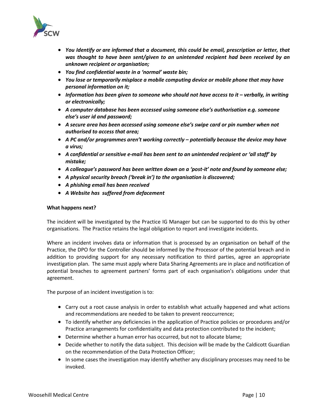

- *You Identify or are informed that a document, this could be email, prescription or letter, that was thought to have been sent/given to an unintended recipient had been received by an unknown recipient or organisation;*
- *You find confidential waste in a 'normal' waste bin;*
- *You lose or temporarily misplace a mobile computing device or mobile phone that may have personal information on it;*
- *Information has been given to someone who should not have access to it – verbally, in writing or electronically;*
- *A computer database has been accessed using someone else's authorisation e.g. someone else's user id and password;*
- *A secure area has been accessed using someone else's swipe card or pin number when not authorised to access that area;*
- *A PC and/or programmes aren't working correctly – potentially because the device may have a virus;*
- *A confidential or sensitive e-mail has been sent to an unintended recipient or 'all staff' by mistake;*
- *A colleague's password has been written down on a 'post-it' note and found by someone else;*
- *A physical security breach ('break in') to the organisation is discovered;*
- *A phishing email has been received*
- *A Website has suffered from defacement*

#### **What happens next?**

The incident will be investigated by the Practice IG Manager but can be supported to do this by other organisations. The Practice retains the legal obligation to report and investigate incidents.

Where an incident involves data or information that is processed by an organisation on behalf of the Practice, the DPO for the Controller should be informed by the Processor of the potential breach and in addition to providing support for any necessary notification to third parties, agree an appropriate investigation plan. The same must apply where Data Sharing Agreements are in place and notification of potential breaches to agreement partners' forms part of each organisation's obligations under that agreement.

The purpose of an incident investigation is to:

- Carry out a root cause analysis in order to establish what actually happened and what actions and recommendations are needed to be taken to prevent reoccurrence;
- To identify whether any deficiencies in the application of Practice policies or procedures and/or Practice arrangements for confidentiality and data protection contributed to the incident;
- Determine whether a human error has occurred, but not to allocate blame;
- Decide whether to notify the data subject. This decision will be made by the Caldicott Guardian on the recommendation of the Data Protection Officer;
- In some cases the investigation may identify whether any disciplinary processes may need to be invoked.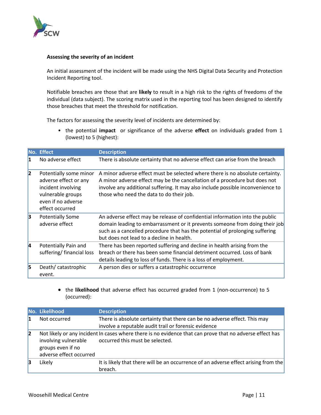

#### **Assessing the severity of an incident**

An initial assessment of the incident will be made using the NHS Digital Data Security and Protection Incident Reporting tool.

Notifiable breaches are those that are **likely** to result in a high risk to the rights of freedoms of the individual (data subject). The scoring matrix used in the reporting tool has been designed to identify those breaches that meet the threshold for notification.

The factors for assessing the severity level of incidents are determined by:

• the potential **impact** or significance of the adverse **effect** on individuals graded from 1 (lowest) to 5 (highest):

|    | No. Effect                                                                                                                          | <b>Description</b>                                                                                                                                                                                                                                                                         |
|----|-------------------------------------------------------------------------------------------------------------------------------------|--------------------------------------------------------------------------------------------------------------------------------------------------------------------------------------------------------------------------------------------------------------------------------------------|
| 11 | No adverse effect                                                                                                                   | There is absolute certainty that no adverse effect can arise from the breach                                                                                                                                                                                                               |
| 2  | Potentially some minor<br>adverse effect or any<br>incident involving<br>vulnerable groups<br>even if no adverse<br>effect occurred | A minor adverse effect must be selected where there is no absolute certainty.<br>A minor adverse effect may be the cancellation of a procedure but does not<br>involve any additional suffering. It may also include possible inconvenience to<br>those who need the data to do their job. |
| 3  | <b>Potentially Some</b><br>adverse effect                                                                                           | An adverse effect may be release of confidential information into the public<br>domain leading to embarrassment or it prevents someone from doing their job<br>such as a cancelled procedure that has the potential of prolonging suffering<br>but does not lead to a decline in health.   |
| 14 | Potentially Pain and<br>suffering/financial loss                                                                                    | There has been reported suffering and decline in health arising from the<br>breach or there has been some financial detriment occurred. Loss of bank<br>details leading to loss of funds. There is a loss of employment.                                                                   |
| 5  | Death/catastrophic<br>event.                                                                                                        | A person dies or suffers a catastrophic occurrence                                                                                                                                                                                                                                         |

• the **likelihood** that adverse effect has occurred graded from 1 (non-occurrence) to 5 (occurred):

|              | No. Likelihood                                                       | <b>Description</b>                                                                                                                          |
|--------------|----------------------------------------------------------------------|---------------------------------------------------------------------------------------------------------------------------------------------|
| 11           | Not occurred                                                         | There is absolute certainty that there can be no adverse effect. This may<br>involve a reputable audit trail or forensic evidence           |
| $\mathsf{2}$ | involving vulnerable<br>groups even if no<br>adverse effect occurred | Not likely or any incident In cases where there is no evidence that can prove that no adverse effect has<br>occurred this must be selected. |
| 13           | Likely                                                               | It is likely that there will be an occurrence of an adverse effect arising from the<br>breach.                                              |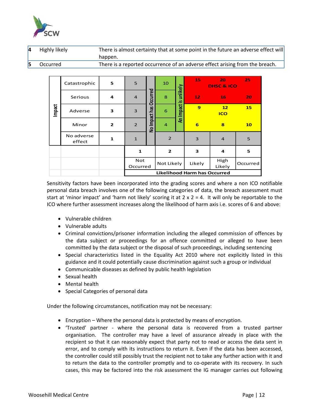

| 4 | Highly likely | There is almost certainty that at some point in the future an adverse effect will |
|---|---------------|-----------------------------------------------------------------------------------|
|   |               | happen.                                                                           |
|   | Occurred      | There is a reported occurrence of an adverse effect arising from the breach.      |

|        | Catastrophic         | 5              | 5                                   | Occurred      | 10             |                       | 15             | 20<br><b>DHSC &amp; ICO</b> | 25        |
|--------|----------------------|----------------|-------------------------------------|---------------|----------------|-----------------------|----------------|-----------------------------|-----------|
|        | Serious              | 4              | $\overline{4}$                      |               | 8              |                       | 12             | 16                          | 20        |
| Impact | Adverse              | З              | $\mathbf{3}$                        |               | 6              | An Impact is unlikely | $\overline{9}$ | 12<br><b>ICO</b>            | <b>15</b> |
|        | Minor                | $\overline{2}$ | $\overline{2}$                      | No Impact has | $\overline{4}$ |                       | 6              | $\overline{\mathbf{8}}$     | 10        |
|        | No adverse<br>effect | $\mathbf{1}$   | $\mathbf{1}$                        |               | $\overline{2}$ |                       | 3              | $\overline{4}$              | 5         |
|        |                      |                | $\mathbf{1}$                        |               | $\overline{2}$ |                       | 3              | 4                           | 5         |
|        |                      |                | <b>Not</b><br>Occurred              |               | Not Likely     |                       | Likely         | High<br>Likely              | Occurred  |
|        |                      |                | <b>Likelihood Harm has Occurred</b> |               |                |                       |                |                             |           |

Sensitivity factors have been incorporated into the grading scores and where a non ICO notifiable personal data breach involves one of the following categories of data, the breach assessment must start at 'minor impact' and 'harm not likely' scoring it at  $2 \times 2 = 4$ . It will only be reportable to the ICO where further assessment increases along the likelihood of harm axis i.e. scores of 6 and above:

- Vulnerable children
- Vulnerable adults
- Criminal convictions/prisoner information including the alleged commission of offences by the data subject or proceedings for an offence committed or alleged to have been committed by the data subject or the disposal of such proceedings, including sentencing
- Special characteristics listed in the Equality Act 2010 where not explicitly listed in this guidance and it could potentially cause discrimination against such a group or individual
- Communicable diseases as defined by public health legislation
- Sexual health
- Mental health
- Special Categories of personal data

Under the following circumstances, notification may not be necessary:

- Encryption Where the personal data is protected by means of encryption.
- 'Trusted' partner where the personal data is recovered from a trusted partner organisation. The controller may have a level of assurance already in place with the recipient so that it can reasonably expect that party not to read or access the data sent in error, and to comply with its instructions to return it. Even if the data has been accessed, the controller could still possibly trust the recipient not to take any further action with it and to return the data to the controller promptly and to co-operate with its recovery. In such cases, this may be factored into the risk assessment the IG manager carries out following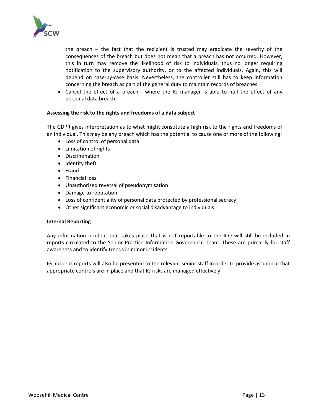

the breach – the fact that the recipient is trusted may eradicate the severity of the consequences of the breach but does not mean that a breach has not occurred. However, this in turn may remove the likelihood of risk to individuals, thus no longer requiring notification to the supervisory authority, or to the affected individuals. Again, this will depend on case-by-case basis. Nevertheless, the controller still has to keep information concerning the breach as part of the general duty to maintain records of breaches.

• Cancel the effect of a breach - where the IG manager is able to null the effect of any personal data breach.

#### **Assessing the risk to the rights and freedoms of a data subject**

The GDPR gives interpretation as to what might constitute a high risk to the rights and freedoms of an individual. This may be any breach which has the potential to cause one or more of the following:

- Loss of control of personal data
- Limitation of rights
- Discrimination
- Identity theft
- Fraud
- Financial loss
- Unauthorised reversal of pseudonymisation
- Damage to reputation
- Loss of confidentiality of personal data protected by professional secrecy
- Other significant economic or social disadvantage to individuals

#### **Internal Reporting**

Any information incident that takes place that is not reportable to the ICO will still be included in reports circulated to the Senior Practice Information Governance Team. These are primarily for staff awareness and to identify trends in minor incidents.

IG incident reports will also be presented to the relevant senior staff in order to provide assurance that appropriate controls are in place and that IG risks are managed effectively.